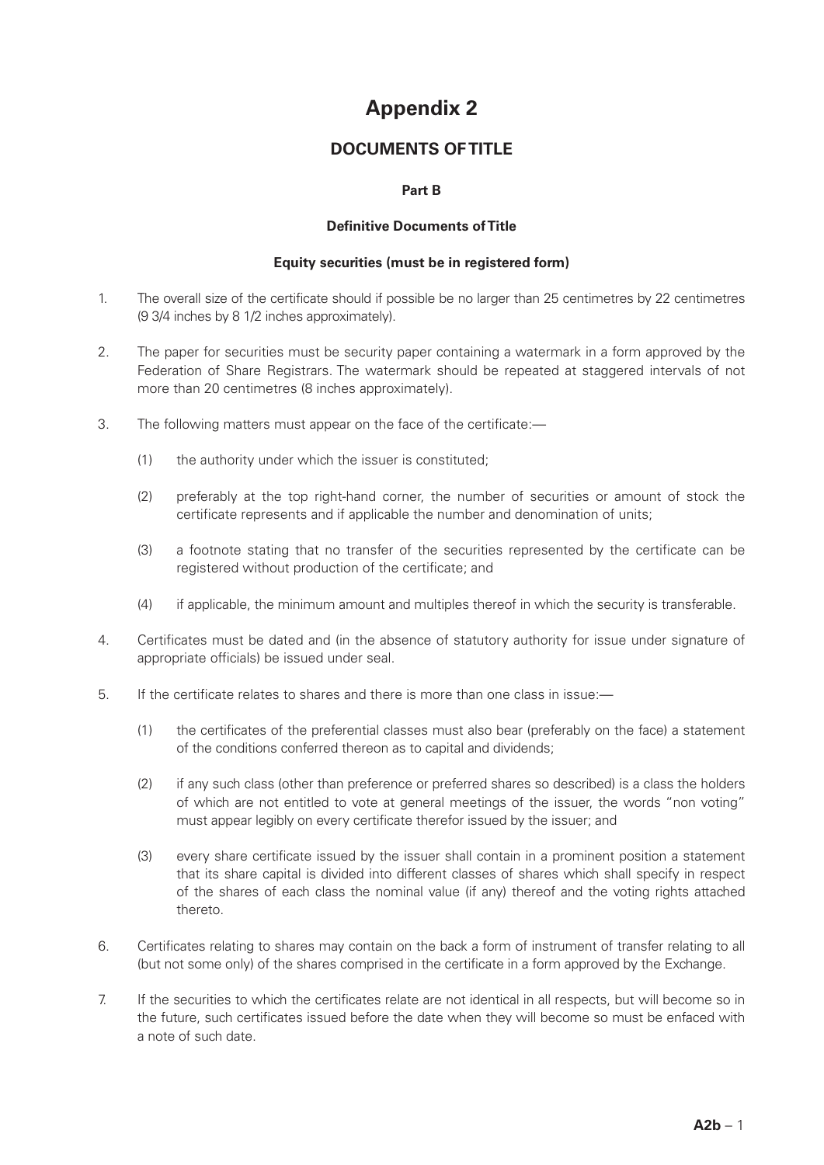# **Appendix 2**

## **DOCUMENTS OF TITLE**

### **Part B**

#### **Definitive Documents of Title**

#### **Equity securities (must be in registered form)**

- 1. The overall size of the certificate should if possible be no larger than 25 centimetres by 22 centimetres (9 3/4 inches by 8 1/2 inches approximately).
- 2. The paper for securities must be security paper containing a watermark in a form approved by the Federation of Share Registrars. The watermark should be repeated at staggered intervals of not more than 20 centimetres (8 inches approximately).
- 3. The following matters must appear on the face of the certificate:—
	- (1) the authority under which the issuer is constituted;
	- (2) preferably at the top right-hand corner, the number of securities or amount of stock the certificate represents and if applicable the number and denomination of units;
	- (3) a footnote stating that no transfer of the securities represented by the certificate can be registered without production of the certificate; and
	- (4) if applicable, the minimum amount and multiples thereof in which the security is transferable.
- 4. Certificates must be dated and (in the absence of statutory authority for issue under signature of appropriate officials) be issued under seal.
- 5. If the certificate relates to shares and there is more than one class in issue:—
	- (1) the certificates of the preferential classes must also bear (preferably on the face) a statement of the conditions conferred thereon as to capital and dividends;
	- (2) if any such class (other than preference or preferred shares so described) is a class the holders of which are not entitled to vote at general meetings of the issuer, the words "non voting" must appear legibly on every certificate therefor issued by the issuer; and
	- (3) every share certificate issued by the issuer shall contain in a prominent position a statement that its share capital is divided into different classes of shares which shall specify in respect of the shares of each class the nominal value (if any) thereof and the voting rights attached thereto.
- 6. Certificates relating to shares may contain on the back a form of instrument of transfer relating to all (but not some only) of the shares comprised in the certificate in a form approved by the Exchange.
- 7. If the securities to which the certificates relate are not identical in all respects, but will become so in the future, such certificates issued before the date when they will become so must be enfaced with a note of such date.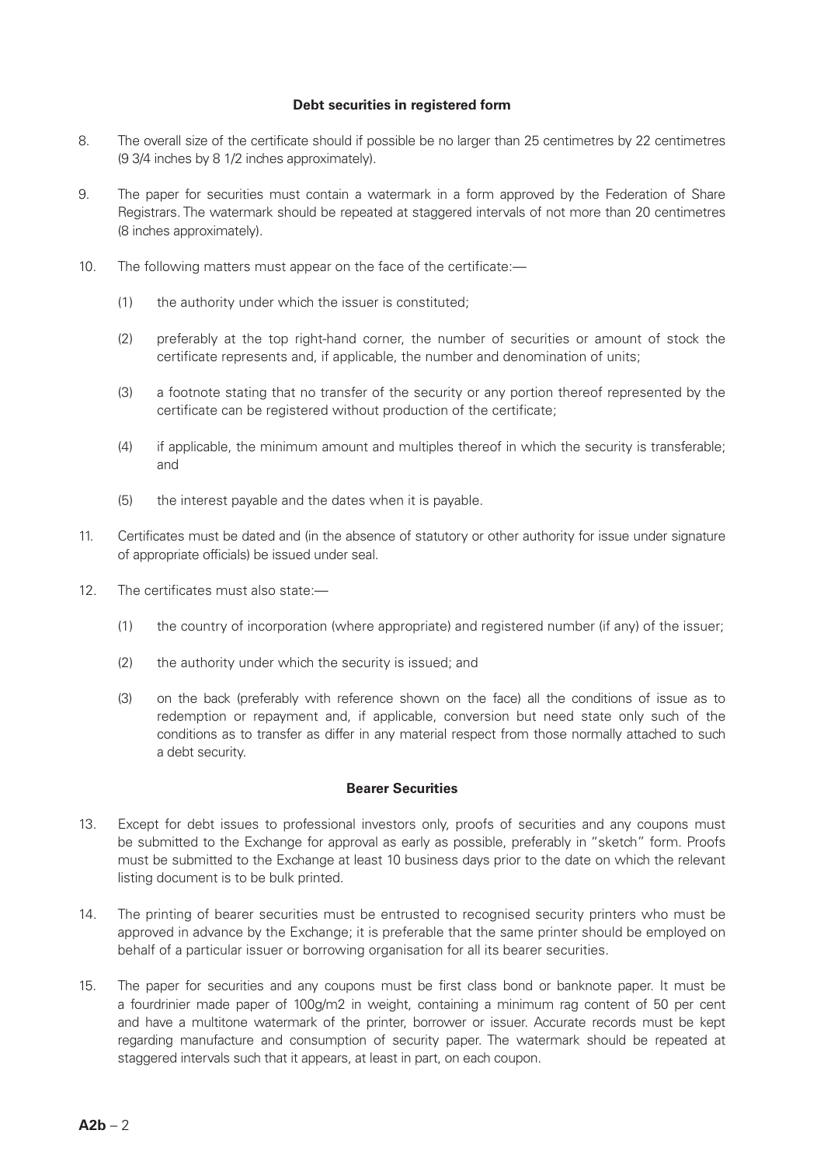#### **Debt securities in registered form**

- 8. The overall size of the certificate should if possible be no larger than 25 centimetres by 22 centimetres (9 3/4 inches by 8 1/2 inches approximately).
- 9. The paper for securities must contain a watermark in a form approved by the Federation of Share Registrars. The watermark should be repeated at staggered intervals of not more than 20 centimetres (8 inches approximately).
- 10. The following matters must appear on the face of the certificate:—
	- (1) the authority under which the issuer is constituted;
	- (2) preferably at the top right-hand corner, the number of securities or amount of stock the certificate represents and, if applicable, the number and denomination of units;
	- (3) a footnote stating that no transfer of the security or any portion thereof represented by the certificate can be registered without production of the certificate;
	- (4) if applicable, the minimum amount and multiples thereof in which the security is transferable; and
	- (5) the interest payable and the dates when it is payable.
- 11. Certificates must be dated and (in the absence of statutory or other authority for issue under signature of appropriate officials) be issued under seal.
- 12. The certificates must also state:—
	- (1) the country of incorporation (where appropriate) and registered number (if any) of the issuer;
	- (2) the authority under which the security is issued; and
	- (3) on the back (preferably with reference shown on the face) all the conditions of issue as to redemption or repayment and, if applicable, conversion but need state only such of the conditions as to transfer as differ in any material respect from those normally attached to such a debt security.

#### **Bearer Securities**

- 13. Except for debt issues to professional investors only, proofs of securities and any coupons must be submitted to the Exchange for approval as early as possible, preferably in "sketch" form. Proofs must be submitted to the Exchange at least 10 business days prior to the date on which the relevant listing document is to be bulk printed.
- 14. The printing of bearer securities must be entrusted to recognised security printers who must be approved in advance by the Exchange; it is preferable that the same printer should be employed on behalf of a particular issuer or borrowing organisation for all its bearer securities.
- 15. The paper for securities and any coupons must be first class bond or banknote paper. It must be a fourdrinier made paper of 100g/m2 in weight, containing a minimum rag content of 50 per cent and have a multitone watermark of the printer, borrower or issuer. Accurate records must be kept regarding manufacture and consumption of security paper. The watermark should be repeated at staggered intervals such that it appears, at least in part, on each coupon.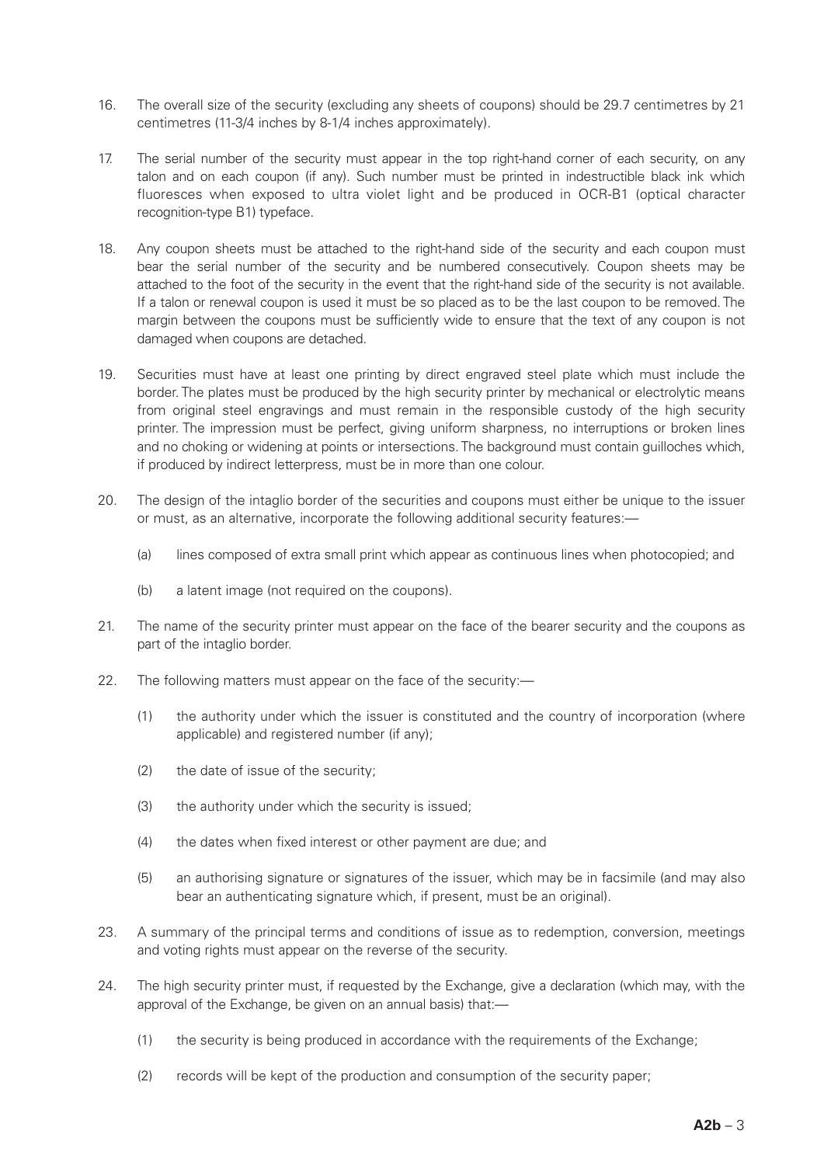- 16. The overall size of the security (excluding any sheets of coupons) should be 29.7 centimetres by 21 centimetres (11-3/4 inches by 8-1/4 inches approximately).
- 17. The serial number of the security must appear in the top right-hand corner of each security, on any talon and on each coupon (if any). Such number must be printed in indestructible black ink which fluoresces when exposed to ultra violet light and be produced in OCR-B1 (optical character recognition-type B1) typeface.
- 18. Any coupon sheets must be attached to the right-hand side of the security and each coupon must bear the serial number of the security and be numbered consecutively. Coupon sheets may be attached to the foot of the security in the event that the right-hand side of the security is not available. If a talon or renewal coupon is used it must be so placed as to be the last coupon to be removed. The margin between the coupons must be sufficiently wide to ensure that the text of any coupon is not damaged when coupons are detached.
- 19. Securities must have at least one printing by direct engraved steel plate which must include the border. The plates must be produced by the high security printer by mechanical or electrolytic means from original steel engravings and must remain in the responsible custody of the high security printer. The impression must be perfect, giving uniform sharpness, no interruptions or broken lines and no choking or widening at points or intersections. The background must contain guilloches which, if produced by indirect letterpress, must be in more than one colour.
- 20. The design of the intaglio border of the securities and coupons must either be unique to the issuer or must, as an alternative, incorporate the following additional security features:—
	- (a) lines composed of extra small print which appear as continuous lines when photocopied; and
	- (b) a latent image (not required on the coupons).
- 21. The name of the security printer must appear on the face of the bearer security and the coupons as part of the intaglio border.
- 22. The following matters must appear on the face of the security:—
	- (1) the authority under which the issuer is constituted and the country of incorporation (where applicable) and registered number (if any);
	- (2) the date of issue of the security;
	- (3) the authority under which the security is issued;
	- (4) the dates when fixed interest or other payment are due; and
	- (5) an authorising signature or signatures of the issuer, which may be in facsimile (and may also bear an authenticating signature which, if present, must be an original).
- 23. A summary of the principal terms and conditions of issue as to redemption, conversion, meetings and voting rights must appear on the reverse of the security.
- 24. The high security printer must, if requested by the Exchange, give a declaration (which may, with the approval of the Exchange, be given on an annual basis) that:—
	- (1) the security is being produced in accordance with the requirements of the Exchange;
	- (2) records will be kept of the production and consumption of the security paper;